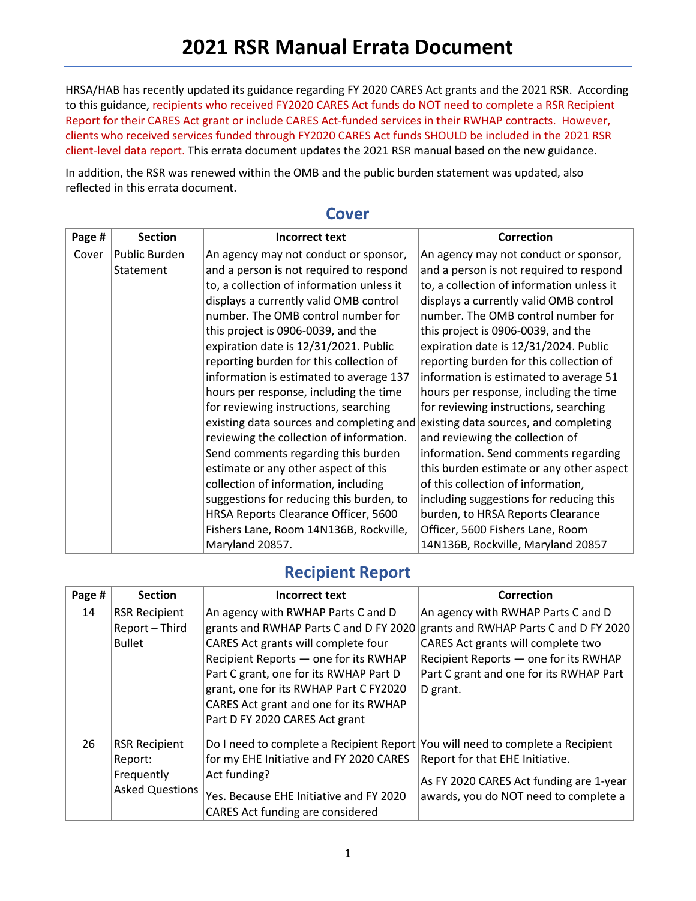HRSA/HAB has recently updated its guidance regarding FY 2020 CARES Act grants and the 2021 RSR. According to this guidance, recipients who received FY2020 CARES Act funds do NOT need to complete a RSR Recipient Report for their CARES Act grant or include CARES Act-funded services in their RWHAP contracts. However, clients who received services funded through FY2020 CARES Act funds SHOULD be included in the 2021 RSR client-level data report. This errata document updates the 2021 RSR manual based on the new guidance.

In addition, the RSR was renewed within the OMB and the public burden statement was updated, also reflected in this errata document.

| Page # | <b>Section</b> | <b>Incorrect text</b>                     | Correction                                |
|--------|----------------|-------------------------------------------|-------------------------------------------|
| Cover  | Public Burden  | An agency may not conduct or sponsor,     | An agency may not conduct or sponsor,     |
|        | Statement      | and a person is not required to respond   | and a person is not required to respond   |
|        |                | to, a collection of information unless it | to, a collection of information unless it |
|        |                | displays a currently valid OMB control    | displays a currently valid OMB control    |
|        |                | number. The OMB control number for        | number. The OMB control number for        |
|        |                | this project is 0906-0039, and the        | this project is 0906-0039, and the        |
|        |                | expiration date is 12/31/2021. Public     | expiration date is 12/31/2024. Public     |
|        |                | reporting burden for this collection of   | reporting burden for this collection of   |
|        |                | information is estimated to average 137   | information is estimated to average 51    |
|        |                | hours per response, including the time    | hours per response, including the time    |
|        |                | for reviewing instructions, searching     | for reviewing instructions, searching     |
|        |                | existing data sources and completing and  | existing data sources, and completing     |
|        |                | reviewing the collection of information.  | and reviewing the collection of           |
|        |                | Send comments regarding this burden       | information. Send comments regarding      |
|        |                | estimate or any other aspect of this      | this burden estimate or any other aspect  |
|        |                | collection of information, including      | of this collection of information,        |
|        |                | suggestions for reducing this burden, to  | including suggestions for reducing this   |
|        |                | HRSA Reports Clearance Officer, 5600      | burden, to HRSA Reports Clearance         |
|        |                | Fishers Lane, Room 14N136B, Rockville,    | Officer, 5600 Fishers Lane, Room          |
|        |                | Maryland 20857.                           | 14N136B, Rockville, Maryland 20857        |

#### **Cover**

### **Recipient Report**

| Page # | <b>Section</b>                                                          | Incorrect text                                                                                                                                                                                                                                                                            | Correction                                                                                                                                                                                                         |
|--------|-------------------------------------------------------------------------|-------------------------------------------------------------------------------------------------------------------------------------------------------------------------------------------------------------------------------------------------------------------------------------------|--------------------------------------------------------------------------------------------------------------------------------------------------------------------------------------------------------------------|
| 14     | <b>RSR Recipient</b><br>Report - Third<br>Bullet                        | An agency with RWHAP Parts C and D<br>grants and RWHAP Parts C and D FY 2020<br>CARES Act grants will complete four<br>Recipient Reports - one for its RWHAP<br>Part C grant, one for its RWHAP Part D<br>grant, one for its RWHAP Part C FY2020<br>CARES Act grant and one for its RWHAP | An agency with RWHAP Parts C and D<br>grants and RWHAP Parts C and D FY 2020<br>CARES Act grants will complete two<br>Recipient Reports - one for its RWHAP<br>Part C grant and one for its RWHAP Part<br>D grant. |
| 26     | <b>RSR Recipient</b><br>Report:<br>Frequently<br><b>Asked Questions</b> | Part D FY 2020 CARES Act grant<br>Do I need to complete a Recipient Report You will need to complete a Recipient<br>for my EHE Initiative and FY 2020 CARES<br>Act funding?<br>Yes. Because EHE Initiative and FY 2020<br>CARES Act funding are considered                                | Report for that EHE Initiative.<br>As FY 2020 CARES Act funding are 1-year<br>awards, you do NOT need to complete a                                                                                                |